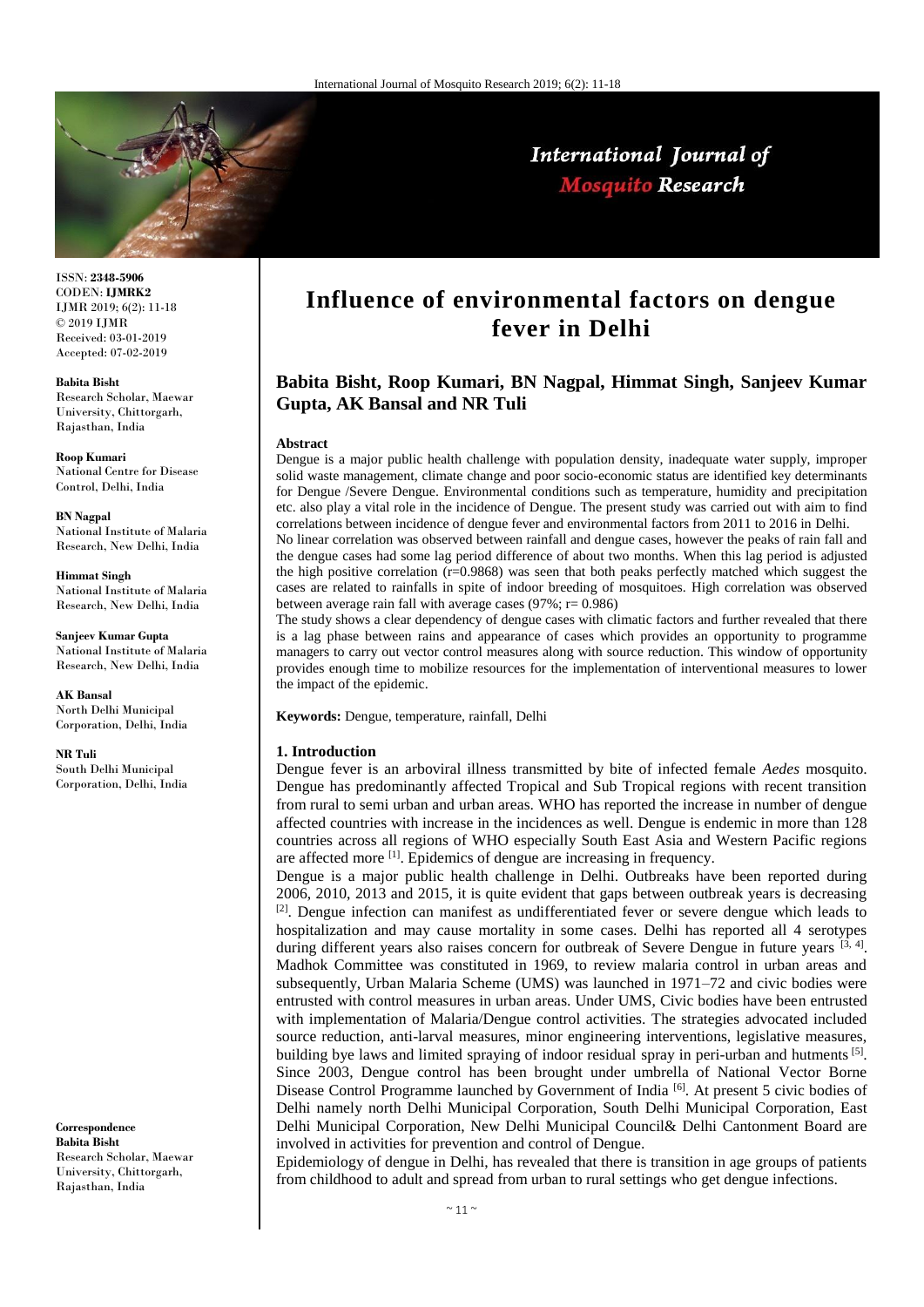

# International Journal of **Mosquito Research**

ISSN: **2348-5906** CODEN: **IJMRK2** IJMR 2019; 6(2): 11-18 © 2019 IJMR Received: 03-01-2019 Accepted: 07-02-2019

**Babita Bisht** Research Scholar, Maewar University, Chittorgarh, Rajasthan, India

**Roop Kumari** National Centre for Disease Control, Delhi, India

**BN Nagpal** National Institute of Malaria Research, New Delhi, India

**Himmat Singh** National Institute of Malaria Research, New Delhi, India

**Sanjeev Kumar Gupta** National Institute of Malaria Research, New Delhi, India

**AK Bansal** North Delhi Municipal Corporation, Delhi, India

**NR Tuli** South Delhi Municipal Corporation, Delhi, India

**Correspondence Babita Bisht** Research Scholar, Maewar University, Chittorgarh, Rajasthan, India

# **Influence of environmental factors on dengue fever in Delhi**

## **Babita Bisht, Roop Kumari, BN Nagpal, Himmat Singh, Sanjeev Kumar Gupta, AK Bansal and NR Tuli**

#### **Abstract**

Dengue is a major public health challenge with population density, inadequate water supply, improper solid waste management, climate change and poor socio-economic status are identified key determinants for Dengue /Severe Dengue. Environmental conditions such as temperature, humidity and precipitation etc. also play a vital role in the incidence of Dengue. The present study was carried out with aim to find correlations between incidence of dengue fever and environmental factors from 2011 to 2016 in Delhi. No linear correlation was observed between rainfall and dengue cases, however the peaks of rain fall and

the dengue cases had some lag period difference of about two months. When this lag period is adjusted the high positive correlation  $(r=0.9868)$  was seen that both peaks perfectly matched which suggest the cases are related to rainfalls in spite of indoor breeding of mosquitoes. High correlation was observed between average rain fall with average cases  $(97\%; r= 0.986)$ 

The study shows a clear dependency of dengue cases with climatic factors and further revealed that there is a lag phase between rains and appearance of cases which provides an opportunity to programme managers to carry out vector control measures along with source reduction. This window of opportunity provides enough time to mobilize resources for the implementation of interventional measures to lower the impact of the epidemic.

**Keywords:** Dengue, temperature, rainfall, Delhi

#### **1. Introduction**

Dengue fever is an arboviral illness transmitted by bite of infected female *Aedes* mosquito. Dengue has predominantly affected Tropical and Sub Tropical regions with recent transition from rural to semi urban and urban areas. WHO has reported the increase in number of dengue affected countries with increase in the incidences as well. Dengue is endemic in more than 128 countries across all regions of WHO especially South East Asia and Western Pacific regions are affected more [1]. Epidemics of dengue are increasing in frequency.

Dengue is a major public health challenge in Delhi. Outbreaks have been reported during 2006, 2010, 2013 and 2015, it is quite evident that gaps between outbreak years is decreasing [2]. Dengue infection can manifest as undifferentiated fever or severe dengue which leads to hospitalization and may cause mortality in some cases. Delhi has reported all 4 serotypes during different years also raises concern for outbreak of Severe Dengue in future years  $[3, 4]$ . Madhok Committee was constituted in 1969, to review malaria control in urban areas and subsequently, Urban Malaria Scheme (UMS) was launched in 1971–72 and civic bodies were entrusted with control measures in urban areas. Under UMS, Civic bodies have been entrusted with implementation of Malaria/Dengue control activities. The strategies advocated included source reduction, anti-larval measures, minor engineering interventions, legislative measures, building bye laws and limited spraying of indoor residual spray in peri-urban and hutments [5]. Since 2003, Dengue control has been brought under umbrella of National Vector Borne Disease Control Programme launched by Government of India [6]. At present 5 civic bodies of Delhi namely north Delhi Municipal Corporation, South Delhi Municipal Corporation, East Delhi Municipal Corporation, New Delhi Municipal Council& Delhi Cantonment Board are involved in activities for prevention and control of Dengue.

Epidemiology of dengue in Delhi, has revealed that there is transition in age groups of patients from childhood to adult and spread from urban to rural settings who get dengue infections.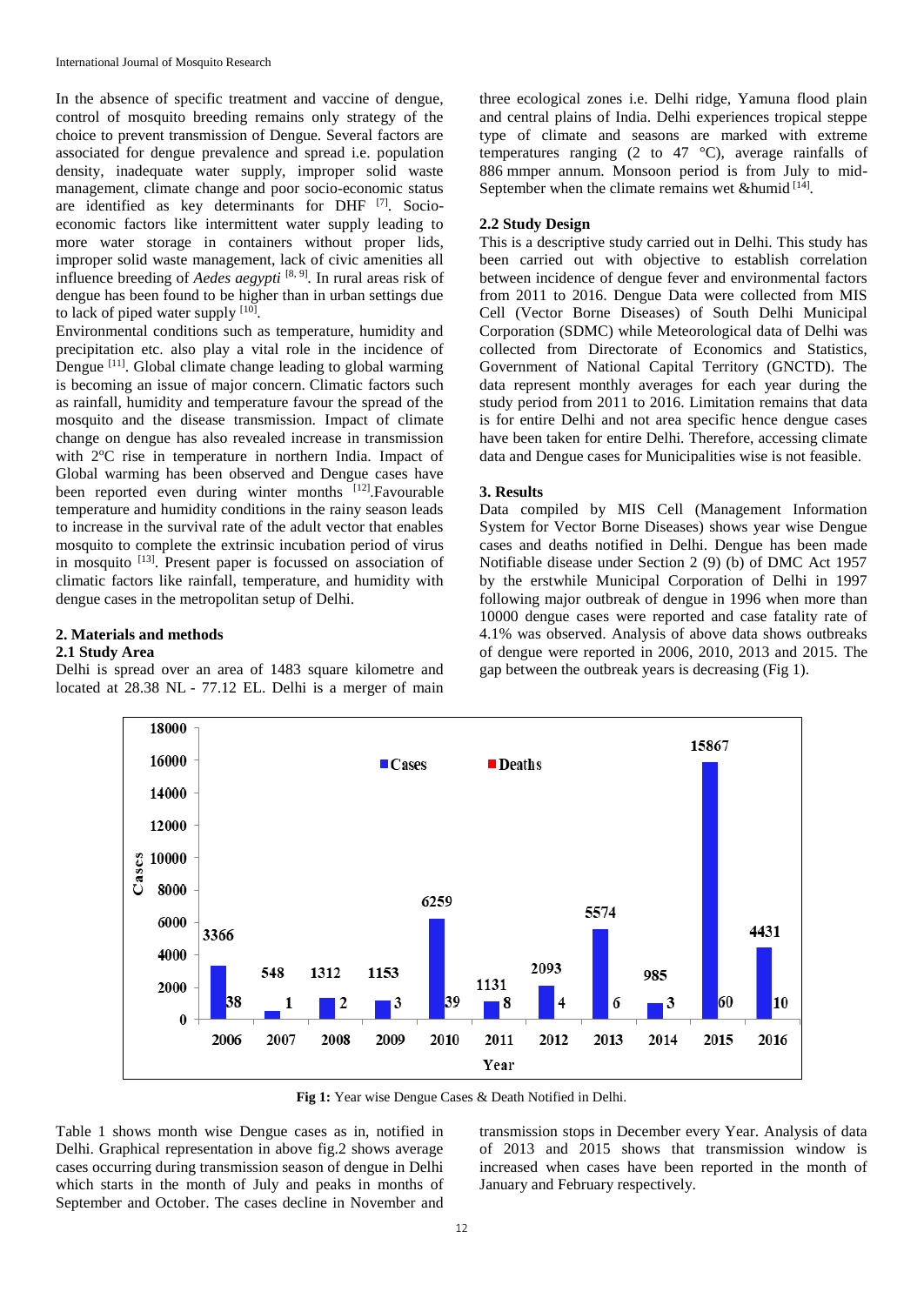In the absence of specific treatment and vaccine of dengue, control of mosquito breeding remains only strategy of the choice to prevent transmission of Dengue. Several factors are associated for dengue prevalence and spread i.e. population density, inadequate water supply, improper solid waste management, climate change and poor socio-economic status are identified as key determinants for DHF <a>[7]</a>. Socioeconomic factors like intermittent water supply leading to more water storage in containers without proper lids, improper solid waste management, lack of civic amenities all influence breeding of *Aedes aegypti* [8, 9] *.* In rural areas risk of dengue has been found to be higher than in urban settings due to lack of piped water supply  $[10]$ .

Environmental conditions such as temperature, humidity and precipitation etc. also play a vital role in the incidence of Dengue<sup>[11]</sup>. Global climate change leading to global warming is becoming an issue of major concern. Climatic factors such as rainfall, humidity and temperature favour the spread of the mosquito and the disease transmission. Impact of climate change on dengue has also revealed increase in transmission with 2°C rise in temperature in northern India. Impact of Global warming has been observed and Dengue cases have been reported even during winter months [12]. Favourable temperature and humidity conditions in the rainy season leads to increase in the survival rate of the adult vector that enables mosquito to complete the extrinsic incubation period of virus in mosquito <sup>[13]</sup>. Present paper is focussed on association of climatic factors like rainfall, temperature, and humidity with dengue cases in the metropolitan setup of Delhi.

### **2. Materials and methods**

#### **2.1 Study Area**

Delhi is spread over an area of 1483 square kilometre and located at 28.38 NL - 77.12 EL. Delhi is a merger of main

three ecological zones i.e. Delhi ridge, Yamuna flood plain and central plains of India. Delhi experiences tropical steppe type of climate and seasons are marked with extreme temperatures ranging (2 to 47  $^{\circ}$ C), average rainfalls of 886 mmper annum. Monsoon period is from July to mid-September when the climate remains wet &humid [14].

#### **2.2 Study Design**

This is a descriptive study carried out in Delhi. This study has been carried out with objective to establish correlation between incidence of dengue fever and environmental factors from 2011 to 2016. Dengue Data were collected from MIS Cell (Vector Borne Diseases) of South Delhi Municipal Corporation (SDMC) while Meteorological data of Delhi was collected from Directorate of Economics and Statistics, Government of National Capital Territory (GNCTD). The data represent monthly averages for each year during the study period from 2011 to 2016. Limitation remains that data is for entire Delhi and not area specific hence dengue cases have been taken for entire Delhi. Therefore, accessing climate data and Dengue cases for Municipalities wise is not feasible.

#### **3. Results**

Data compiled by MIS Cell (Management Information System for Vector Borne Diseases) shows year wise Dengue cases and deaths notified in Delhi. Dengue has been made Notifiable disease under Section 2 (9) (b) of DMC Act 1957 by the erstwhile Municipal Corporation of Delhi in 1997 following major outbreak of dengue in 1996 when more than 10000 dengue cases were reported and case fatality rate of 4.1% was observed. Analysis of above data shows outbreaks of dengue were reported in 2006, 2010, 2013 and 2015. The gap between the outbreak years is decreasing (Fig 1).



**Fig 1:** Year wise Dengue Cases & Death Notified in Delhi.

Table 1 shows month wise Dengue cases as in, notified in Delhi. Graphical representation in above fig.2 shows average cases occurring during transmission season of dengue in Delhi which starts in the month of July and peaks in months of September and October. The cases decline in November and

transmission stops in December every Year. Analysis of data of 2013 and 2015 shows that transmission window is increased when cases have been reported in the month of January and February respectively.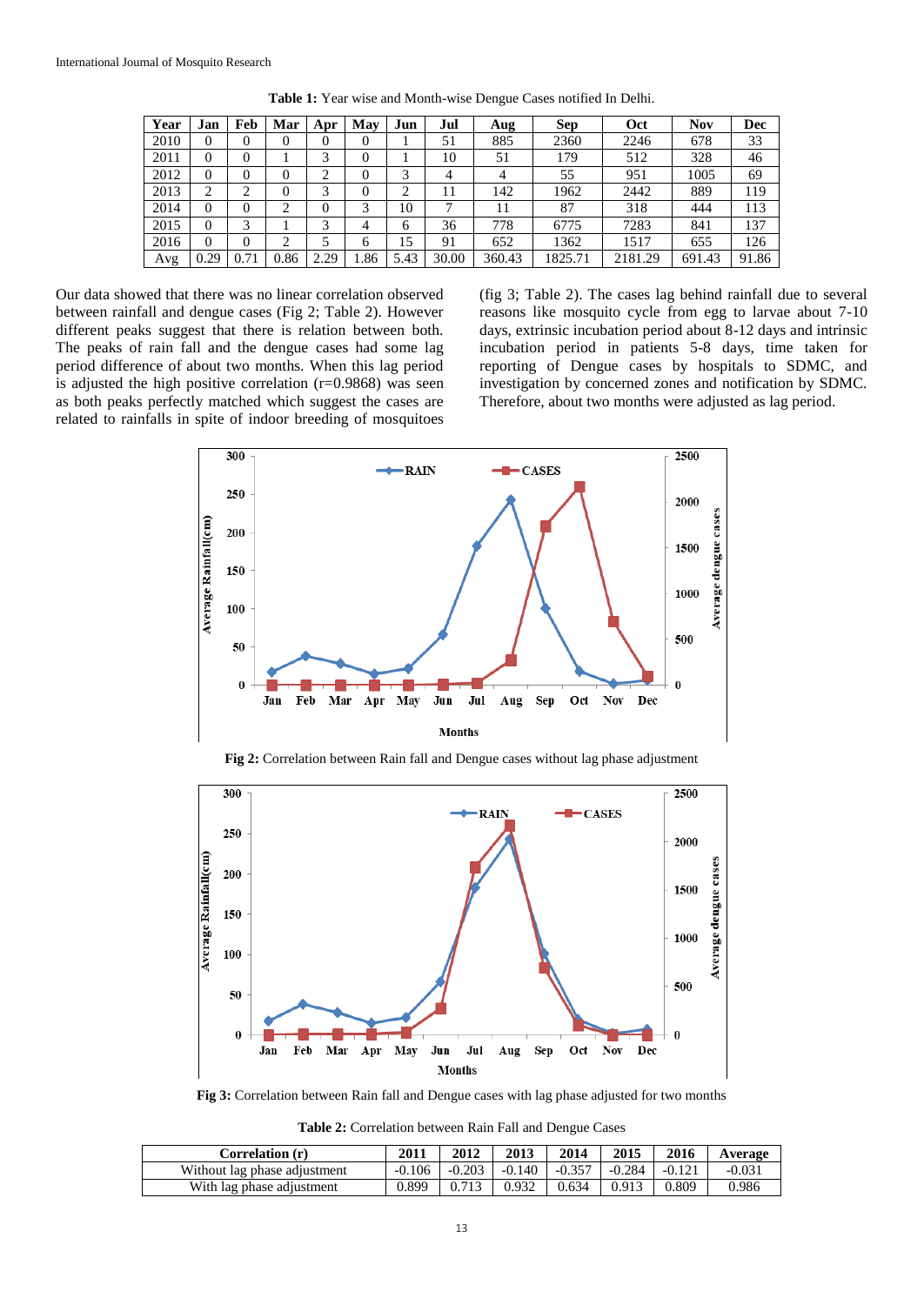| Year | Jan      | Feb  | Mar  | Apr              | May  | Jun  | Jul   | Aug    | <b>Sep</b> | Oct     | <b>Nov</b> | Dec   |
|------|----------|------|------|------------------|------|------|-------|--------|------------|---------|------------|-------|
| 2010 | 0        | 0    | 0    | 0                | 0    |      | 51    | 885    | 2360       | 2246    | 678        | 33    |
| 2011 | 0        | 0    |      | 3                | 0    |      | 10    | 51     | 179        | 512     | 328        | 46    |
| 2012 | 0        | 0    | 0    | ◠                | 0    | 3    | 4     | 4      | 55         | 951     | 1005       | 69    |
| 2013 | ∍        | ↑    | 0    | 3                | 0    | ◠    |       | 142    | 1962       | 2442    | 889        | 119   |
| 2014 | $\Omega$ | 0    | ◠    | 0                | 3    | 10   |       | 11     | 87         | 318     | 444        | 113   |
| 2015 | 0        | 3    |      | 3                | 4    | 6    | 36    | 778    | 6775       | 7283    | 841        | 137   |
| 2016 | 0        | 0    |      |                  | 6    | 15   | 91    | 652    | 1362       | 1517    | 655        | 126   |
| Avg  | 0.29     | 0.71 | 0.86 | 2.29<br>$\gamma$ | 1.86 | 5.43 | 30.00 | 360.43 | 1825.71    | 2181.29 | 691.43     | 91.86 |

**Table 1:** Year wise and Month-wise Dengue Cases notified In Delhi.

Our data showed that there was no linear correlation observed between rainfall and dengue cases (Fig 2; Table 2). However different peaks suggest that there is relation between both. The peaks of rain fall and the dengue cases had some lag period difference of about two months. When this lag period is adjusted the high positive correlation  $(r=0.9868)$  was seen as both peaks perfectly matched which suggest the cases are related to rainfalls in spite of indoor breeding of mosquitoes

(fig 3; Table 2). The cases lag behind rainfall due to several reasons like mosquito cycle from egg to larvae about 7-10 days, extrinsic incubation period about 8-12 days and intrinsic incubation period in patients 5-8 days, time taken for reporting of Dengue cases by hospitals to SDMC, and investigation by concerned zones and notification by SDMC. Therefore, about two months were adjusted as lag period.



**Fig 2:** Correlation between Rain fall and Dengue cases without lag phase adjustment



**Fig 3:** Correlation between Rain fall and Dengue cases with lag phase adjusted for two months

**Table 2:** Correlation between Rain Fall and Dengue Cases

| Correlation (r)              | 2011     | 2012     | 2013              | 2014  | 2015     | 2016     | Average  |
|------------------------------|----------|----------|-------------------|-------|----------|----------|----------|
| Without lag phase adjustment | $-0.106$ | $-0.203$ | $-0.140$ $-0.357$ |       | $-0.284$ | $-0.121$ | $-0.031$ |
| With lag phase adjustment    | 0.899    | 0.713    | $0.932$           | 0.634 | 0.913    | 0.809    | 0.986    |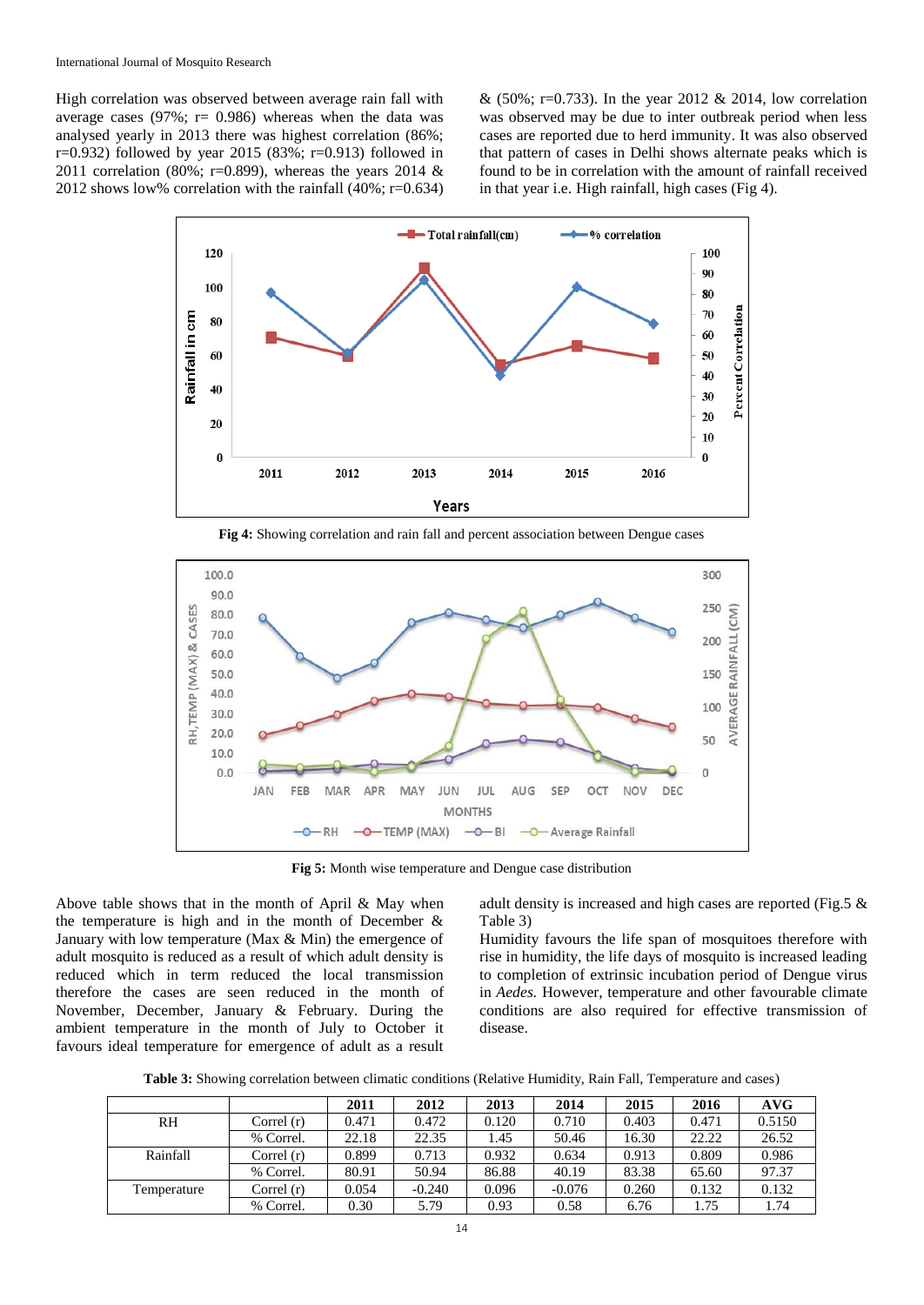High correlation was observed between average rain fall with average cases (97%;  $r = 0.986$ ) whereas when the data was analysed yearly in 2013 there was highest correlation (86%;  $r=0.932$ ) followed by year 2015 (83%;  $r=0.913$ ) followed in 2011 correlation (80%; r=0.899), whereas the years 2014  $\&$ 2012 shows low% correlation with the rainfall (40%; r=0.634)

& (50%; r=0.733). In the year 2012 & 2014, low correlation was observed may be due to inter outbreak period when less cases are reported due to herd immunity. It was also observed that pattern of cases in Delhi shows alternate peaks which is found to be in correlation with the amount of rainfall received in that year i.e. High rainfall, high cases (Fig 4).



**Fig 4:** Showing correlation and rain fall and percent association between Dengue cases



**Fig 5:** Month wise temperature and Dengue case distribution

Above table shows that in the month of April & May when the temperature is high and in the month of December & January with low temperature (Max & Min) the emergence of adult mosquito is reduced as a result of which adult density is reduced which in term reduced the local transmission therefore the cases are seen reduced in the month of November, December, January & February. During the ambient temperature in the month of July to October it favours ideal temperature for emergence of adult as a result adult density is increased and high cases are reported (Fig.5 & Table 3)

Humidity favours the life span of mosquitoes therefore with rise in humidity, the life days of mosquito is increased leading to completion of extrinsic incubation period of Dengue virus in *Aedes.* However, temperature and other favourable climate conditions are also required for effective transmission of disease.

**Table 3:** Showing correlation between climatic conditions (Relative Humidity, Rain Fall, Temperature and cases)

|             |              | 2011  | 2012     | 2013  | 2014     | 2015  | 2016  | AVG    |
|-------------|--------------|-------|----------|-------|----------|-------|-------|--------|
| RH.         | Correl $(r)$ | 0.471 | 0.472    | 0.120 | 0.710    | 0.403 | 0.471 | 0.5150 |
|             | % Correl.    | 22.18 | 22.35    | .45   | 50.46    | 16.30 | 22.22 | 26.52  |
| Rainfall    | Correl $(r)$ | 0.899 | 0.713    | 0.932 | 0.634    | 0.913 | 0.809 | 0.986  |
|             | % Correl.    | 80.91 | 50.94    | 86.88 | 40.19    | 83.38 | 65.60 | 97.37  |
| Temperature | Correl $(r)$ | 0.054 | $-0.240$ | 0.096 | $-0.076$ | 0.260 | 0.132 | 0.132  |
|             | % Correl.    | 0.30  | 5.79     | 0.93  | 0.58     | 6.76  | 1.75  | 1.74   |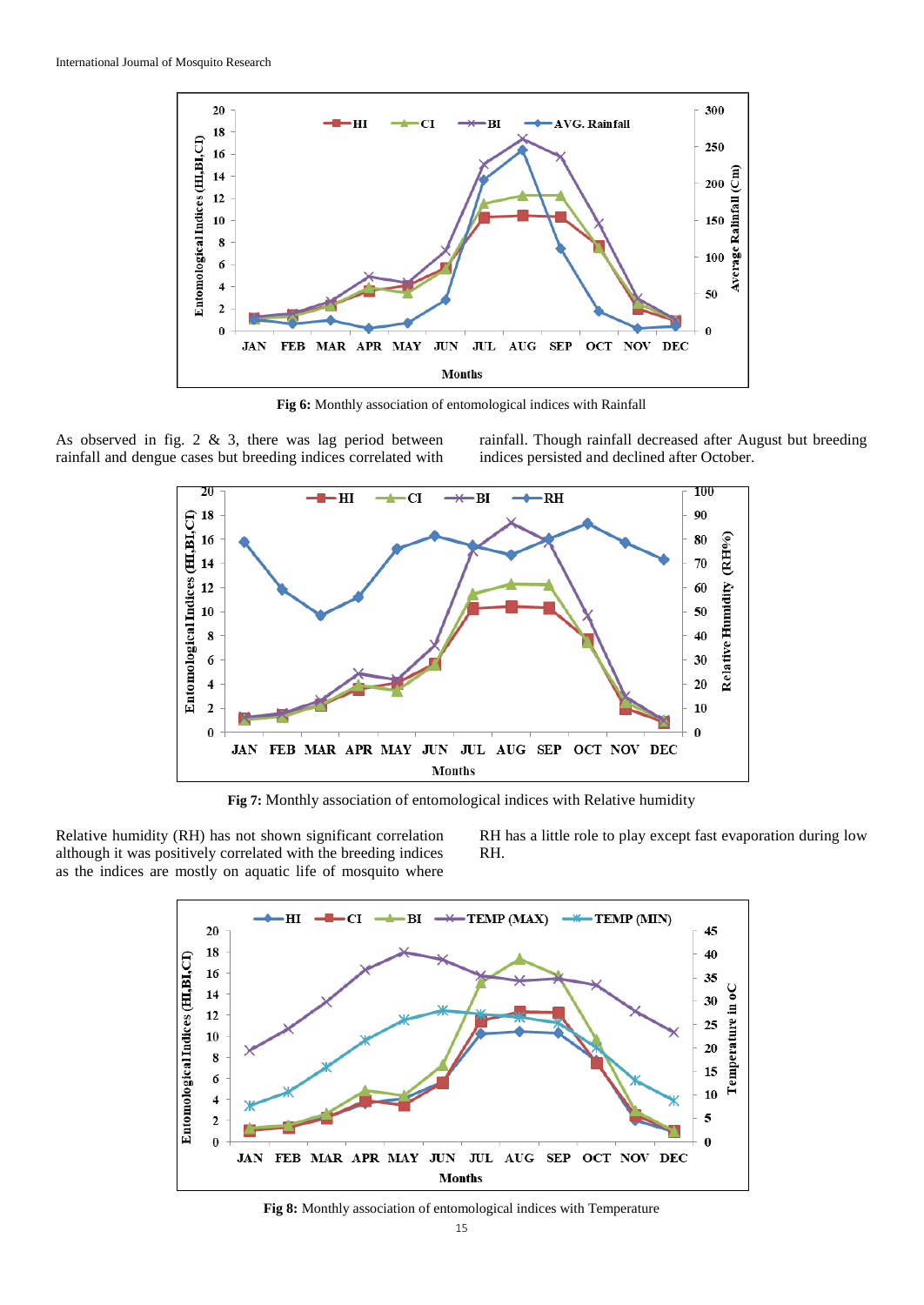

**Fig 6:** Monthly association of entomological indices with Rainfall

As observed in fig. 2 & 3, there was lag period between rainfall and dengue cases but breeding indices correlated with rainfall. Though rainfall decreased after August but breeding indices persisted and declined after October.



**Fig 7:** Monthly association of entomological indices with Relative humidity

Relative humidity (RH) has not shown significant correlation although it was positively correlated with the breeding indices as the indices are mostly on aquatic life of mosquito where

RH has a little role to play except fast evaporation during low RH.



**Fig 8:** Monthly association of entomological indices with Temperature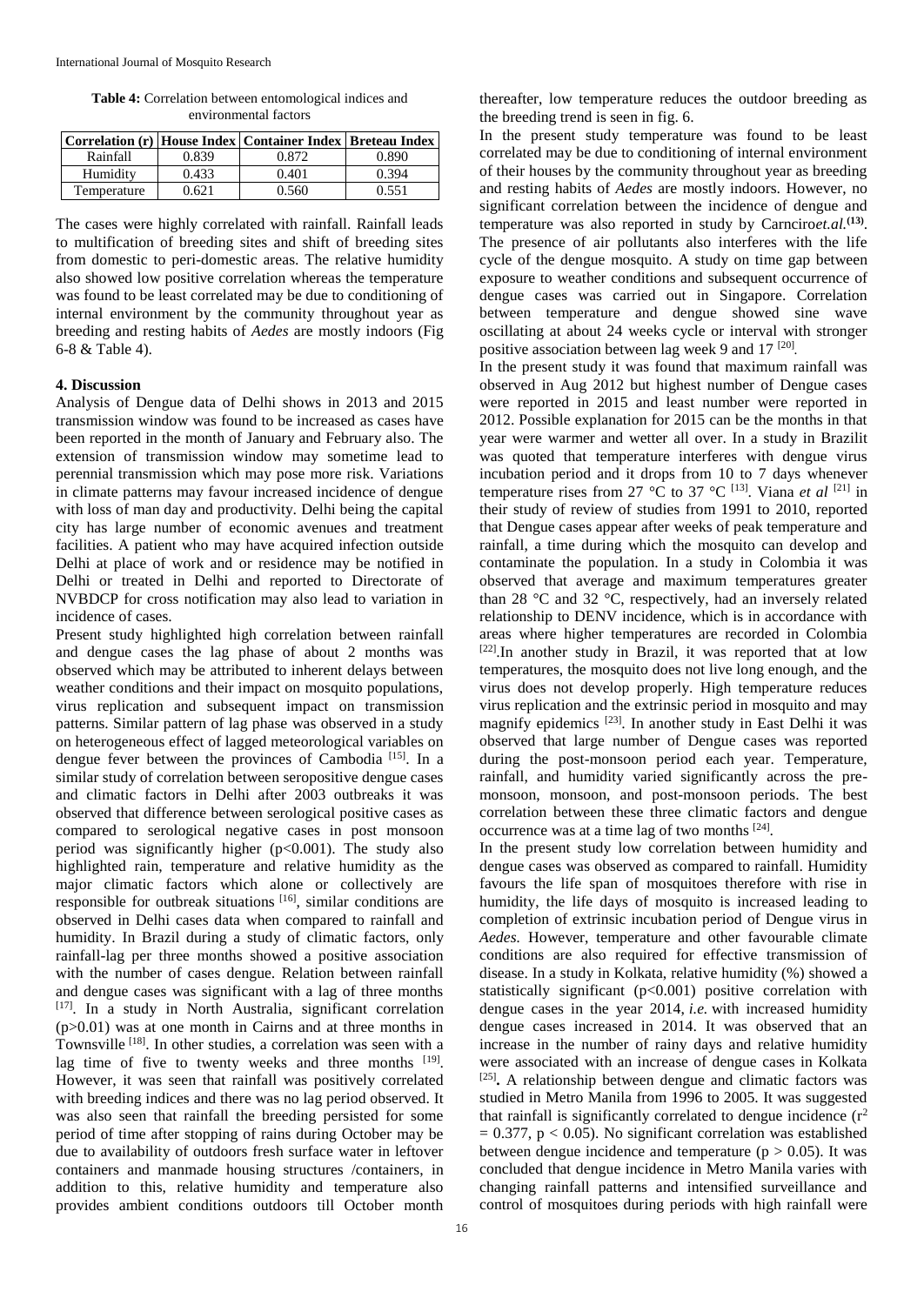**Table 4:** Correlation between entomological indices and environmental factors

|             |       | Correlation (r) House Index Container Index Breteau Index |       |
|-------------|-------|-----------------------------------------------------------|-------|
| Rainfall    | 0.839 | 0.872                                                     | 0.890 |
| Humidity    | 0.433 | 0.401                                                     | 0.394 |
| Temperature | ነ 621 | 0 560                                                     | በ 551 |

The cases were highly correlated with rainfall. Rainfall leads to multification of breeding sites and shift of breeding sites from domestic to peri-domestic areas. The relative humidity also showed low positive correlation whereas the temperature was found to be least correlated may be due to conditioning of internal environment by the community throughout year as breeding and resting habits of *Aedes* are mostly indoors (Fig 6-8 & Table 4).

#### **4. Discussion**

Analysis of Dengue data of Delhi shows in 2013 and 2015 transmission window was found to be increased as cases have been reported in the month of January and February also. The extension of transmission window may sometime lead to perennial transmission which may pose more risk. Variations in climate patterns may favour increased incidence of dengue with loss of man day and productivity. Delhi being the capital city has large number of economic avenues and treatment facilities. A patient who may have acquired infection outside Delhi at place of work and or residence may be notified in Delhi or treated in Delhi and reported to Directorate of NVBDCP for cross notification may also lead to variation in incidence of cases.

Present study highlighted high correlation between rainfall and dengue cases the lag phase of about 2 months was observed which may be attributed to inherent delays between weather conditions and their impact on mosquito populations, virus replication and subsequent impact on transmission patterns. Similar pattern of lag phase was observed in a study on heterogeneous effect of lagged meteorological variables on dengue fever between the provinces of Cambodia<sup>[15]</sup>. In a similar study of correlation between seropositive dengue cases and climatic factors in Delhi after 2003 outbreaks it was observed that difference between serological positive cases as compared to serological negative cases in post monsoon period was significantly higher  $(p<0.001)$ . The study also highlighted rain, temperature and relative humidity as the major climatic factors which alone or collectively are responsible for outbreak situations  $[16]$ , similar conditions are observed in Delhi cases data when compared to rainfall and humidity. In Brazil during a study of climatic factors, only rainfall-lag per three months showed a positive association with the number of cases dengue. Relation between rainfall and dengue cases was significant with a lag of three months [17]. In a study in North Australia, significant correlation (p>0.01) was at one month in Cairns and at three months in Townsville<sup>[18]</sup>. In other studies, a correlation was seen with a lag time of five to twenty weeks and three months [19]. However, it was seen that rainfall was positively correlated with breeding indices and there was no lag period observed. It was also seen that rainfall the breeding persisted for some period of time after stopping of rains during October may be due to availability of outdoors fresh surface water in leftover containers and manmade housing structures /containers, in addition to this, relative humidity and temperature also provides ambient conditions outdoors till October month

thereafter, low temperature reduces the outdoor breeding as the breeding trend is seen in fig. 6.

In the present study temperature was found to be least correlated may be due to conditioning of internal environment of their houses by the community throughout year as breeding and resting habits of *Aedes* are mostly indoors. However, no significant correlation between the incidence of dengue and temperature was also reported in study by Carnciro*et.al.***(13)** . The presence of air pollutants also interferes with the life cycle of the dengue mosquito. A study on time gap between exposure to weather conditions and subsequent occurrence of dengue cases was carried out in Singapore. Correlation between temperature and dengue showed sine wave oscillating at about 24 weeks cycle or interval with stronger positive association between lag week 9 and 17<sup>[20]</sup>.

In the present study it was found that maximum rainfall was observed in Aug 2012 but highest number of Dengue cases were reported in 2015 and least number were reported in 2012. Possible explanation for 2015 can be the months in that year were warmer and wetter all over. In a study in Brazilit was quoted that temperature interferes with dengue virus incubation period and it drops from 10 to 7 days whenever temperature rises from 27 °C to 37 °C <sup>[13]</sup>. Viana *et al* <sup>[21]</sup> in their study of review of studies from 1991 to 2010, reported that Dengue cases appear after weeks of peak temperature and rainfall, a time during which the mosquito can develop and contaminate the population. In a study in Colombia it was observed that average and maximum temperatures greater than 28 °C and 32 °C, respectively, had an inversely related relationship to DENV incidence, which is in accordance with areas where higher temperatures are recorded in Colombia [22]. In another study in Brazil, it was reported that at low temperatures, the mosquito does not live long enough, and the virus does not develop properly. High temperature reduces virus replication and the extrinsic period in mosquito and may magnify epidemics<sup>[23]</sup>. In another study in East Delhi it was observed that large number of Dengue cases was reported during the post-monsoon period each year. Temperature, rainfall, and humidity varied significantly across the premonsoon, monsoon, and post-monsoon periods. The best correlation between these three climatic factors and dengue occurrence was at a time lag of two months [24].

In the present study low correlation between humidity and dengue cases was observed as compared to rainfall. Humidity favours the life span of mosquitoes therefore with rise in humidity, the life days of mosquito is increased leading to completion of extrinsic incubation period of Dengue virus in *Aedes.* However, temperature and other favourable climate conditions are also required for effective transmission of disease. In a study in Kolkata, relative humidity (%) showed a statistically significant  $(p<0.001)$  positive correlation with dengue cases in the year 2014, *i.e.* with increased humidity dengue cases increased in 2014. It was observed that an increase in the number of rainy days and relative humidity were associated with an increase of dengue cases in Kolkata [25] **.** A relationship between dengue and climatic factors was studied in Metro Manila from 1996 to 2005. It was suggested that rainfall is significantly correlated to dengue incidence  $(r^2)$  $= 0.377$ ,  $p < 0.05$ ). No significant correlation was established between dengue incidence and temperature ( $p > 0.05$ ). It was concluded that dengue incidence in Metro Manila varies with changing rainfall patterns and intensified surveillance and control of mosquitoes during periods with high rainfall were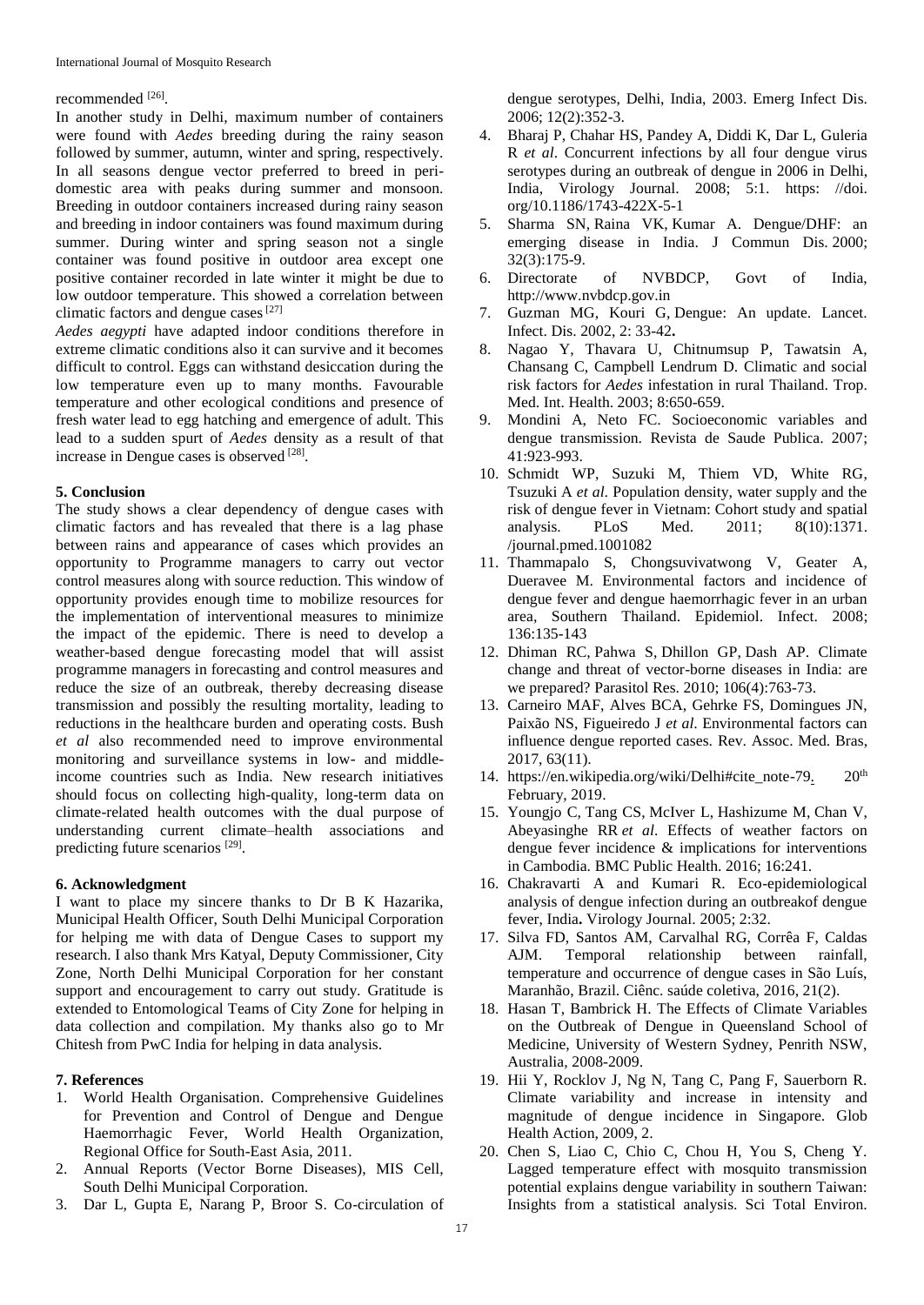#### recommended [26].

In another study in Delhi, maximum number of containers were found with *Aedes* breeding during the rainy season followed by summer, autumn, winter and spring, respectively. In all seasons dengue vector preferred to breed in peridomestic area with peaks during summer and monsoon. Breeding in outdoor containers increased during rainy season and breeding in indoor containers was found maximum during summer. During winter and spring season not a single container was found positive in outdoor area except one positive container recorded in late winter it might be due to low outdoor temperature. This showed a correlation between climatic factors and dengue cases  $[27]$ 

*Aedes aegypti* have adapted indoor conditions therefore in extreme climatic conditions also it can survive and it becomes difficult to control. Eggs can withstand desiccation during the low temperature even up to many months. Favourable temperature and other ecological conditions and presence of fresh water lead to egg hatching and emergence of adult. This lead to a sudden spurt of *Aedes* density as a result of that increase in Dengue cases is observed [28].

#### **5. Conclusion**

The study shows a clear dependency of dengue cases with climatic factors and has revealed that there is a lag phase between rains and appearance of cases which provides an opportunity to Programme managers to carry out vector control measures along with source reduction. This window of opportunity provides enough time to mobilize resources for the implementation of interventional measures to minimize the impact of the epidemic. There is need to develop a weather-based dengue forecasting model that will assist programme managers in forecasting and control measures and reduce the size of an outbreak, thereby decreasing disease transmission and possibly the resulting mortality, leading to reductions in the healthcare burden and operating costs. Bush *et al* also recommended need to improve environmental monitoring and surveillance systems in low- and middleincome countries such as India. New research initiatives should focus on collecting high-quality, long-term data on climate-related health outcomes with the dual purpose of understanding current climate–health associations and predicting future scenarios<sup>[29]</sup>.

#### **6. Acknowledgment**

I want to place my sincere thanks to Dr B K Hazarika, Municipal Health Officer, South Delhi Municipal Corporation for helping me with data of Dengue Cases to support my research. I also thank Mrs Katyal, Deputy Commissioner, City Zone, North Delhi Municipal Corporation for her constant support and encouragement to carry out study. Gratitude is extended to Entomological Teams of City Zone for helping in data collection and compilation. My thanks also go to Mr Chitesh from PwC India for helping in data analysis.

### **7. References**

- 1. World Health Organisation. Comprehensive Guidelines for Prevention and Control of Dengue and Dengue Haemorrhagic Fever, World Health Organization, Regional Office for South-East Asia, 2011.
- 2. Annual Reports (Vector Borne Diseases), MIS Cell, South Delhi Municipal Corporation.
- 3. Dar L, Gupta E, Narang P, Broor S. Co-circulation of

dengue serotypes, Delhi, India, 2003. Emerg Infect Dis. 2006; 12(2):352-3.

- 4. Bharaj P, Chahar HS, Pandey A, Diddi K, Dar L, Guleria R *et al*. Concurrent infections by all four dengue virus serotypes during an outbreak of dengue in 2006 in Delhi, India, Virology Journal. 2008; 5:1. https: //doi. org/10.1186/1743-422X-5-1
- 5. Sharma SN, Raina VK, Kumar A. Dengue/DHF: an emerging disease in India. J Commun Dis. 2000; 32(3):175-9.
- 6. Directorate of NVBDCP, Govt of India, http://www.nvbdcp.gov.in
- 7. Guzman MG, Kouri G, Dengue: An update. Lancet. Infect. Dis. 2002, 2: 33-42**.**
- 8. Nagao Y, Thavara U, Chitnumsup P, Tawatsin A, Chansang C, Campbell Lendrum D. Climatic and social risk factors for *Aedes* infestation in rural Thailand. Trop. Med. Int. Health. 2003; 8:650-659.
- 9. Mondini A, Neto FC. Socioeconomic variables and dengue transmission. Revista de Saude Publica. 2007; 41:923-993.
- 10. Schmidt WP, Suzuki M, Thiem VD, White RG, Tsuzuki A *et al*. Population density, water supply and the risk of dengue fever in Vietnam: Cohort study and spatial analysis. PLoS Med. 2011; 8(10):1371. /journal.pmed.1001082
- 11. Thammapalo S, Chongsuvivatwong V, Geater A, Dueravee M. Environmental factors and incidence of dengue fever and dengue haemorrhagic fever in an urban area, Southern Thailand. Epidemiol. Infect. 2008; 136:135-143
- 12. Dhiman RC, Pahwa S, Dhillon GP, Dash AP. Climate change and threat of vector-borne diseases in India: are we prepared? Parasitol Res. 2010; 106(4):763-73.
- 13. Carneiro MAF, Alves BCA, Gehrke FS, Domingues JN, Paixão NS, Figueiredo J *et al*. Environmental factors can influence dengue reported cases. Rev. Assoc. Med. Bras, 2017, 63(11).
- 14. https://en.wikipedia.org/wiki/Delhi#cite\_note-79. 20<sup>th</sup> February, 2019.
- 15. Youngjo C, Tang CS, McIver L, Hashizume M, Chan V, Abeyasinghe RR *et al*. Effects of weather factors on dengue fever incidence & implications for interventions in Cambodia. BMC Public Health. 2016; 16:241.
- 16. Chakravarti A and Kumari R. Eco-epidemiological analysis of dengue infection during an outbreakof dengue fever, India**.** Virology Journal. 2005; 2:32.
- 17. Silva FD, Santos AM, Carvalhal RG, Corrêa F, Caldas AJM. Temporal relationship between rainfall, temperature and occurrence of dengue cases in São Luís, Maranhão, Brazil. Ciênc. saúde coletiva, 2016, 21(2).
- 18. Hasan T, Bambrick H. The Effects of Climate Variables on the Outbreak of Dengue in Queensland School of Medicine, University of Western Sydney, Penrith NSW, Australia, 2008-2009.
- 19. Hii Y, Rocklov J, Ng N, Tang C, Pang F, Sauerborn R. Climate variability and increase in intensity and magnitude of dengue incidence in Singapore. Glob Health Action, 2009, 2.
- 20. Chen S, Liao C, Chio C, Chou H, You S, Cheng Y. Lagged temperature effect with mosquito transmission potential explains dengue variability in southern Taiwan: Insights from a statistical analysis. Sci Total Environ.